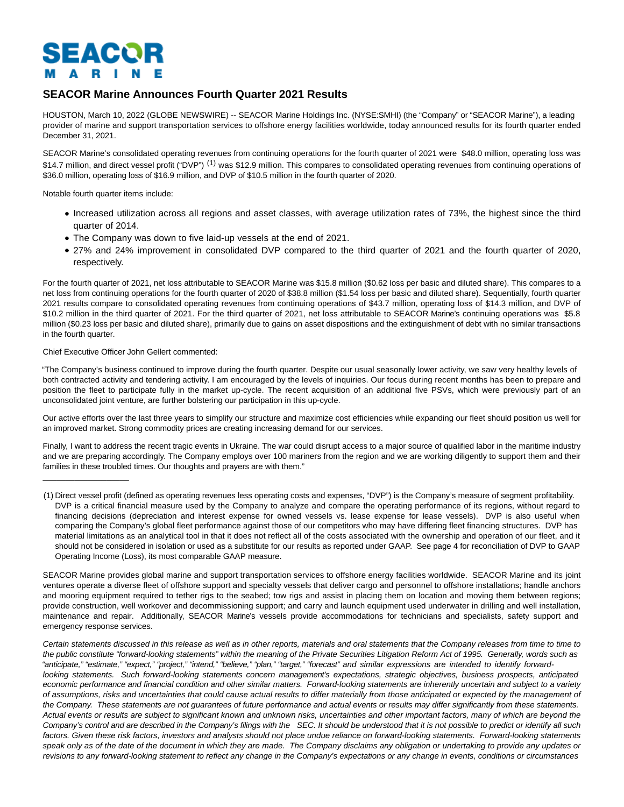# SEACOR  $\mathbf{A}$ - R

# **SEACOR Marine Announces Fourth Quarter 2021 Results**

HOUSTON, March 10, 2022 (GLOBE NEWSWIRE) -- SEACOR Marine Holdings Inc. (NYSE:SMHI) (the "Company" or "SEACOR Marine"), a leading provider of marine and support transportation services to offshore energy facilities worldwide, today announced results for its fourth quarter ended December 31, 2021.

SEACOR Marine's consolidated operating revenues from continuing operations for the fourth quarter of 2021 were \$48.0 million, operating loss was \$14.7 million, and direct vessel profit ("DVP")<sup>(1)</sup> was \$12.9 million. This compares to consolidated operating revenues from continuing operations of \$36.0 million, operating loss of \$16.9 million, and DVP of \$10.5 million in the fourth quarter of 2020.

Notable fourth quarter items include:

- Increased utilization across all regions and asset classes, with average utilization rates of 73%, the highest since the third quarter of 2014.
- The Company was down to five laid-up vessels at the end of 2021.
- 27% and 24% improvement in consolidated DVP compared to the third quarter of 2021 and the fourth quarter of 2020, respectively.

For the fourth quarter of 2021, net loss attributable to SEACOR Marine was \$15.8 million (\$0.62 loss per basic and diluted share). This compares to a net loss from continuing operations for the fourth quarter of 2020 of \$38.8 million (\$1.54 loss per basic and diluted share). Sequentially, fourth quarter 2021 results compare to consolidated operating revenues from continuing operations of \$43.7 million, operating loss of \$14.3 million, and DVP of \$10.2 million in the third quarter of 2021. For the third quarter of 2021, net loss attributable to SEACOR Marine's continuing operations was \$5.8 million (\$0.23 loss per basic and diluted share), primarily due to gains on asset dispositions and the extinguishment of debt with no similar transactions in the fourth quarter.

### Chief Executive Officer John Gellert commented:

 $\frac{1}{2}$  ,  $\frac{1}{2}$  ,  $\frac{1}{2}$  ,  $\frac{1}{2}$  ,  $\frac{1}{2}$  ,  $\frac{1}{2}$  ,  $\frac{1}{2}$  ,  $\frac{1}{2}$  ,  $\frac{1}{2}$  ,  $\frac{1}{2}$  ,  $\frac{1}{2}$  ,  $\frac{1}{2}$  ,  $\frac{1}{2}$  ,  $\frac{1}{2}$  ,  $\frac{1}{2}$  ,  $\frac{1}{2}$  ,  $\frac{1}{2}$  ,  $\frac{1}{2}$  ,  $\frac{1$ 

"The Company's business continued to improve during the fourth quarter. Despite our usual seasonally lower activity, we saw very healthy levels of both contracted activity and tendering activity. I am encouraged by the levels of inquiries. Our focus during recent months has been to prepare and position the fleet to participate fully in the market up-cycle. The recent acquisition of an additional five PSVs, which were previously part of an unconsolidated joint venture, are further bolstering our participation in this up-cycle.

Our active efforts over the last three years to simplify our structure and maximize cost efficiencies while expanding our fleet should position us well for an improved market. Strong commodity prices are creating increasing demand for our services.

Finally, I want to address the recent tragic events in Ukraine. The war could disrupt access to a major source of qualified labor in the maritime industry and we are preparing accordingly. The Company employs over 100 mariners from the region and we are working diligently to support them and their families in these troubled times. Our thoughts and prayers are with them."

SEACOR Marine provides global marine and support transportation services to offshore energy facilities worldwide. SEACOR Marine and its joint ventures operate a diverse fleet of offshore support and specialty vessels that deliver cargo and personnel to offshore installations; handle anchors and mooring equipment required to tether rigs to the seabed; tow rigs and assist in placing them on location and moving them between regions; provide construction, well workover and decommissioning support; and carry and launch equipment used underwater in drilling and well installation, maintenance and repair. Additionally, SEACOR Marine's vessels provide accommodations for technicians and specialists, safety support and emergency response services.

Certain statements discussed in this release as well as in other reports, materials and oral statements that the Company releases from time to time to the public constitute "forward-looking statements" within the meaning of the Private Securities Litigation Reform Act of 1995. Generally, words such as "anticipate," "estimate," "expect," "project," "intend," "believe," "plan," "target," "forecast" and similar expressions are intended to identify forwardlooking statements. Such forward-looking statements concern management's expectations, strategic objectives, business prospects, anticipated economic performance and financial condition and other similar matters. Forward-looking statements are inherently uncertain and subject to a variety of assumptions, risks and uncertainties that could cause actual results to differ materially from those anticipated or expected by the management of the Company. These statements are not guarantees of future performance and actual events or results may differ significantly from these statements. Actual events or results are subject to significant known and unknown risks, uncertainties and other important factors, many of which are beyond the Company's control and are described in the Company's filings with the SEC. It should be understood that it is not possible to predict or identify all such factors. Given these risk factors, investors and analysts should not place undue reliance on forward-looking statements. Forward-looking statements speak only as of the date of the document in which they are made. The Company disclaims any obligation or undertaking to provide any updates or revisions to any forward-looking statement to reflect any change in the Company's expectations or any change in events, conditions or circumstances

<sup>(1)</sup> Direct vessel profit (defined as operating revenues less operating costs and expenses, "DVP") is the Company's measure of segment profitability. DVP is a critical financial measure used by the Company to analyze and compare the operating performance of its regions, without regard to financing decisions (depreciation and interest expense for owned vessels vs. lease expense for lease vessels). DVP is also useful when comparing the Company's global fleet performance against those of our competitors who may have differing fleet financing structures. DVP has material limitations as an analytical tool in that it does not reflect all of the costs associated with the ownership and operation of our fleet, and it should not be considered in isolation or used as a substitute for our results as reported under GAAP. See page 4 for reconciliation of DVP to GAAP Operating Income (Loss), its most comparable GAAP measure.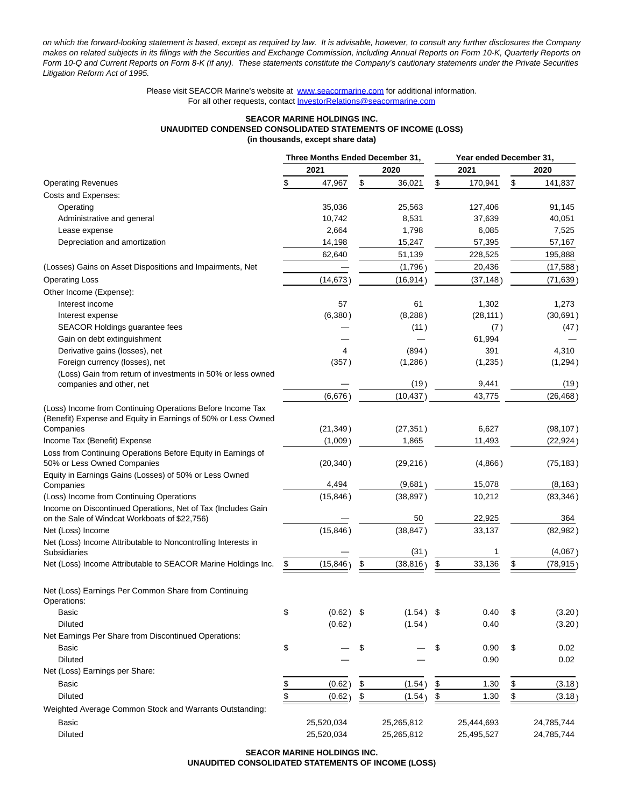on which the forward-looking statement is based, except as required by law. It is advisable, however, to consult any further disclosures the Company makes on related subjects in its filings with the Securities and Exchange Commission, including Annual Reports on Form 10-K, Quarterly Reports on Form 10-Q and Current Reports on Form 8-K (if any). These statements constitute the Company's cautionary statements under the Private Securities Litigation Reform Act of 1995.

> Please visit SEACOR Marine's website at [www.seacormarine.com f](http://www.seacormarine.com/)or additional information. For all other requests, contact [InvestorRelations@seacormarine.com](https://www.globenewswire.com/Tracker?data=hH1ncO1zfBOfqvNtoYMlrVlEkYQlqFjVcYBWOhycS7cc_TNzm33tagQm_qbTzT-Gtx9tiuADWFxQQiwgDMsPz01eH6hkZ2KFjaing-pU8DnMaqkvjGmduGP_M0DQSL_c544LuFiHTf1hDYQ8k1RdxQ==)

#### **SEACOR MARINE HOLDINGS INC. UNAUDITED CONDENSED CONSOLIDATED STATEMENTS OF INCOME (LOSS) (in thousands, except share data)**

|                                                                                                                             | Three Months Ended December 31, |             |    |             |               |            | Year ended December 31, |            |  |
|-----------------------------------------------------------------------------------------------------------------------------|---------------------------------|-------------|----|-------------|---------------|------------|-------------------------|------------|--|
|                                                                                                                             |                                 | 2021        |    | 2020        |               | 2021       |                         | 2020       |  |
| <b>Operating Revenues</b>                                                                                                   | \$                              | 47,967      | \$ | 36,021      | \$            | 170,941    | \$                      | 141,837    |  |
| Costs and Expenses:                                                                                                         |                                 |             |    |             |               |            |                         |            |  |
| Operating                                                                                                                   |                                 | 35,036      |    | 25,563      |               | 127,406    |                         | 91,145     |  |
| Administrative and general                                                                                                  |                                 | 10,742      |    | 8,531       |               | 37,639     |                         | 40,051     |  |
| Lease expense                                                                                                               |                                 | 2,664       |    | 1,798       |               | 6,085      |                         | 7,525      |  |
| Depreciation and amortization                                                                                               |                                 | 14,198      |    | 15,247      |               | 57,395     |                         | 57,167     |  |
|                                                                                                                             |                                 | 62,640      |    | 51,139      |               | 228,525    |                         | 195,888    |  |
| (Losses) Gains on Asset Dispositions and Impairments, Net                                                                   |                                 |             |    | (1,796)     |               | 20,436     |                         | (17,588)   |  |
| <b>Operating Loss</b>                                                                                                       |                                 | (14, 673)   |    | (16, 914)   |               | (37, 148)  |                         | (71, 639)  |  |
| Other Income (Expense):                                                                                                     |                                 |             |    |             |               |            |                         |            |  |
| Interest income                                                                                                             |                                 | 57          |    | 61          |               | 1,302      |                         | 1,273      |  |
| Interest expense                                                                                                            |                                 | (6, 380)    |    | (8, 288)    |               | (28, 111)  |                         | (30, 691)  |  |
| SEACOR Holdings guarantee fees                                                                                              |                                 |             |    | (11)        |               | (7)        |                         | (47)       |  |
| Gain on debt extinguishment                                                                                                 |                                 |             |    |             |               | 61,994     |                         |            |  |
| Derivative gains (losses), net                                                                                              |                                 | 4           |    | (894)       |               | 391        |                         | 4,310      |  |
| Foreign currency (losses), net                                                                                              |                                 | (357)       |    | (1,286)     |               | (1,235)    |                         | (1,294)    |  |
| (Loss) Gain from return of investments in 50% or less owned                                                                 |                                 |             |    |             |               |            |                         |            |  |
| companies and other, net                                                                                                    |                                 |             |    | (19)        |               | 9,441      |                         | (19)       |  |
|                                                                                                                             |                                 | (6,676)     |    | (10, 437)   |               | 43,775     |                         | (26, 468)  |  |
| (Loss) Income from Continuing Operations Before Income Tax<br>(Benefit) Expense and Equity in Earnings of 50% or Less Owned |                                 |             |    |             |               |            |                         |            |  |
| Companies                                                                                                                   |                                 | (21, 349)   |    | (27, 351)   |               | 6,627      |                         | (98, 107)  |  |
| Income Tax (Benefit) Expense                                                                                                |                                 | (1,009)     |    | 1,865       |               | 11,493     |                         | (22, 924)  |  |
| Loss from Continuing Operations Before Equity in Earnings of<br>50% or Less Owned Companies                                 |                                 | (20, 340)   |    | (29, 216)   |               | (4,866)    |                         | (75, 183)  |  |
| Equity in Earnings Gains (Losses) of 50% or Less Owned                                                                      |                                 |             |    |             |               |            |                         |            |  |
| Companies                                                                                                                   |                                 | 4,494       |    | (9,681)     |               | 15,078     |                         | (8, 163)   |  |
| (Loss) Income from Continuing Operations                                                                                    |                                 | (15, 846)   |    | (38, 897)   |               | 10,212     |                         | (83, 346)  |  |
| Income on Discontinued Operations, Net of Tax (Includes Gain<br>on the Sale of Windcat Workboats of \$22,756)               |                                 |             |    | 50          |               | 22,925     |                         | 364        |  |
| Net (Loss) Income                                                                                                           |                                 | (15, 846)   |    | (38, 847)   |               | 33,137     |                         | (82, 982)  |  |
| Net (Loss) Income Attributable to Noncontrolling Interests in                                                               |                                 |             |    |             |               |            |                         |            |  |
| Subsidiaries                                                                                                                |                                 |             |    | (31)        |               | 1          |                         | (4,067)    |  |
| Net (Loss) Income Attributable to SEACOR Marine Holdings Inc.                                                               | \$                              | (15, 846)   | \$ | (38, 816)   | \$            | 33,136     | \$                      | (78, 915)  |  |
| Net (Loss) Earnings Per Common Share from Continuing<br>Operations:                                                         |                                 |             |    |             |               |            |                         |            |  |
| Basic                                                                                                                       | \$                              | $(0.62)$ \$ |    | $(1.54)$ \$ |               | 0.40       | \$                      | (3.20)     |  |
| <b>Diluted</b>                                                                                                              |                                 | (0.62)      |    | (1.54)      |               | 0.40       |                         | (3.20)     |  |
| Net Earnings Per Share from Discontinued Operations:                                                                        |                                 |             |    |             |               |            |                         |            |  |
| Basic                                                                                                                       | \$                              |             | \$ |             | \$            | 0.90       | \$                      | 0.02       |  |
| <b>Diluted</b>                                                                                                              |                                 |             |    |             |               | 0.90       |                         | 0.02       |  |
| Net (Loss) Earnings per Share:                                                                                              |                                 |             |    |             |               |            |                         |            |  |
| Basic                                                                                                                       | $\frac{1}{2}$                   | (0.62)      | \$ | (1.54)      | \$            | 1.30       | $\frac{1}{2}$           | (3.18)     |  |
| <b>Diluted</b>                                                                                                              | \$                              | (0.62)      | \$ | (1.54)      | $\frac{1}{2}$ | 1.30       | \$                      | (3.18)     |  |
| Weighted Average Common Stock and Warrants Outstanding:                                                                     |                                 |             |    |             |               |            |                         |            |  |
| Basic                                                                                                                       |                                 | 25,520,034  |    | 25,265,812  |               | 25,444,693 |                         | 24,785,744 |  |
| Diluted                                                                                                                     |                                 | 25,520,034  |    | 25,265,812  |               | 25,495,527 |                         | 24,785,744 |  |

**SEACOR MARINE HOLDINGS INC. UNAUDITED CONSOLIDATED STATEMENTS OF INCOME (LOSS)**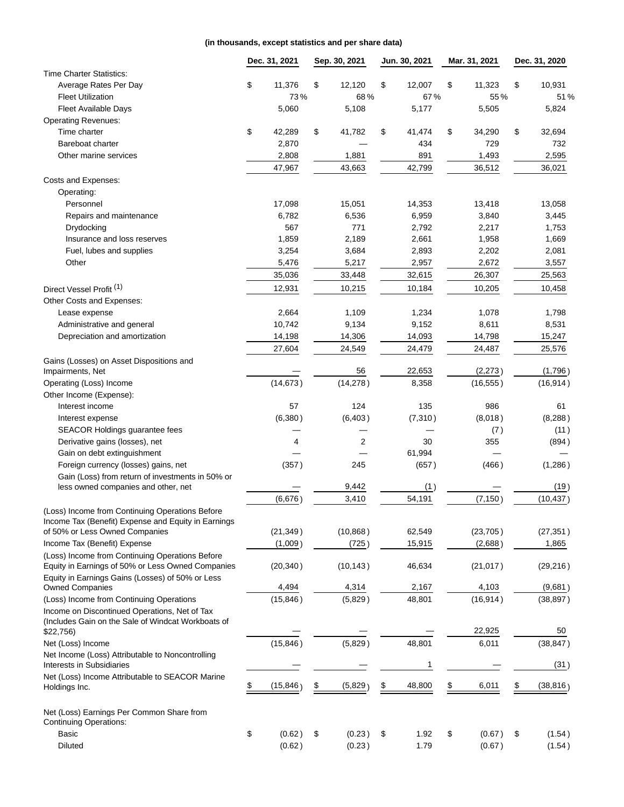## **(in thousands, except statistics and per share data)**

|                                                              | Dec. 31, 2021 | Sep. 30, 2021  | Jun. 30, 2021 | Mar. 31, 2021 | Dec. 31, 2020   |
|--------------------------------------------------------------|---------------|----------------|---------------|---------------|-----------------|
| <b>Time Charter Statistics:</b>                              |               |                |               |               |                 |
| Average Rates Per Day                                        | \$<br>11,376  | \$<br>12,120   | \$<br>12,007  | \$<br>11,323  | \$<br>10,931    |
| <b>Fleet Utilization</b>                                     | 73%           | 68%            | 67%           | 55%           | 51%             |
| <b>Fleet Available Days</b>                                  | 5,060         | 5,108          | 5,177         | 5,505         | 5,824           |
| <b>Operating Revenues:</b>                                   |               |                |               |               |                 |
| Time charter                                                 | \$<br>42,289  | \$<br>41,782   | \$<br>41,474  | \$<br>34,290  | \$<br>32,694    |
| Bareboat charter                                             | 2,870         |                | 434           | 729           | 732             |
| Other marine services                                        | 2,808         | 1,881          | 891           | 1,493         | 2,595           |
|                                                              | 47,967        | 43,663         | 42,799        | 36,512        | 36,021          |
| Costs and Expenses:                                          |               |                |               |               |                 |
| Operating:                                                   |               |                |               |               |                 |
| Personnel                                                    | 17,098        | 15,051         | 14,353        | 13,418        | 13,058          |
| Repairs and maintenance                                      | 6,782         | 6,536          | 6,959         | 3,840         | 3,445           |
| Drydocking                                                   | 567           | 771            | 2,792         | 2,217         | 1,753           |
| Insurance and loss reserves                                  | 1,859         | 2,189          | 2,661         | 1,958         | 1,669           |
| Fuel, lubes and supplies                                     | 3,254         | 3,684          | 2,893         | 2,202         | 2,081           |
| Other                                                        | 5,476         | 5,217          | 2,957         | 2,672         | 3,557           |
|                                                              | 35,036        | 33,448         | 32,615        | 26,307        | 25,563          |
| Direct Vessel Profit <sup>(1)</sup>                          | 12,931        | 10,215         | 10,184        | 10,205        | 10,458          |
| Other Costs and Expenses:                                    |               |                |               |               |                 |
| Lease expense                                                | 2,664         | 1,109          | 1,234         | 1,078         | 1,798           |
| Administrative and general                                   | 10,742        | 9,134          | 9,152         | 8,611         | 8,531           |
| Depreciation and amortization                                | 14,198        | 14,306         | 14,093        | 14,798        | 15,247          |
|                                                              |               |                |               |               |                 |
|                                                              | 27,604        | 24,549         | 24,479        | 24,487        | 25,576          |
| Gains (Losses) on Asset Dispositions and<br>Impairments, Net |               | 56             | 22,653        | (2, 273)      | (1,796)         |
| Operating (Loss) Income                                      | (14, 673)     | (14, 278)      | 8,358         | (16, 555)     | (16, 914)       |
| Other Income (Expense):                                      |               |                |               |               |                 |
| Interest income                                              | 57            | 124            | 135           | 986           | 61              |
| Interest expense                                             | (6,380)       | (6, 403)       | (7, 310)      | (8,018)       | (8, 288)        |
| SEACOR Holdings guarantee fees                               |               |                |               | (7)           | (11)            |
| Derivative gains (losses), net                               | 4             | $\overline{2}$ | 30            | 355           | (894)           |
| Gain on debt extinguishment                                  |               |                | 61,994        |               |                 |
| Foreign currency (losses) gains, net                         | (357)         | 245            | (657)         | (466)         | (1,286)         |
| Gain (Loss) from return of investments in 50% or             |               |                |               |               |                 |
| less owned companies and other, net                          |               | 9,442          | (1)           |               | (19)            |
|                                                              | (6,676)       | 3,410          | 54,191        | (7, 150)      | (10, 437)       |
| (Loss) Income from Continuing Operations Before              |               |                |               |               |                 |
| Income Tax (Benefit) Expense and Equity in Earnings          |               |                |               |               |                 |
| of 50% or Less Owned Companies                               | (21, 349)     | (10, 868)      | 62,549        | (23, 705)     | (27, 351)       |
| Income Tax (Benefit) Expense                                 | (1,009)       | (725)          | 15,915        | (2,688)       | 1,865           |
| (Loss) Income from Continuing Operations Before              |               |                |               |               |                 |
| Equity in Earnings of 50% or Less Owned Companies            | (20, 340)     | (10, 143)      | 46,634        | (21, 017)     | (29, 216)       |
| Equity in Earnings Gains (Losses) of 50% or Less             |               |                |               |               |                 |
| <b>Owned Companies</b>                                       | 4,494         | 4,314          | 2,167         | 4,103         | (9,681)         |
| (Loss) Income from Continuing Operations                     | (15, 846)     | (5,829)        | 48,801        | (16, 914)     | (38, 897)       |
| Income on Discontinued Operations, Net of Tax                |               |                |               |               |                 |
| (Includes Gain on the Sale of Windcat Workboats of           |               |                |               |               |                 |
| \$22,756                                                     |               |                |               | 22,925        | 50              |
| Net (Loss) Income                                            | (15, 846)     | (5,829)        | 48,801        | 6,011         | (38, 847)       |
| Net Income (Loss) Attributable to Noncontrolling             |               |                |               |               |                 |
| Interests in Subsidiaries                                    |               |                | 1             |               | (31)            |
| Net (Loss) Income Attributable to SEACOR Marine              | \$            |                |               |               |                 |
| Holdings Inc.                                                | (15, 846)     | \$<br>(5,829)  | 48,800<br>\$  | \$<br>6,011   | \$<br>(38, 816) |
| Net (Loss) Earnings Per Common Share from                    |               |                |               |               |                 |
| <b>Continuing Operations:</b>                                |               |                |               |               |                 |
| Basic                                                        | \$<br>(0.62)  | \$<br>(0.23)   | \$<br>1.92    | \$<br>(0.67)  | \$<br>(1.54)    |
| <b>Diluted</b>                                               | (0.62)        | (0.23)         | 1.79          | (0.67)        | (1.54)          |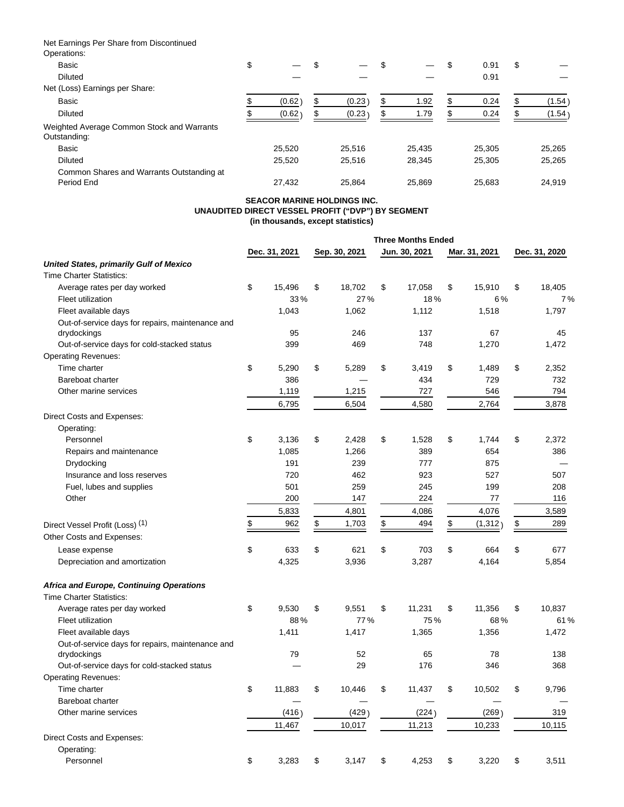Net Earnings Per Share from Discontinued Operations:

| OPEI QUOI IS.                                              |        |   |        |            |   |        |   |        |
|------------------------------------------------------------|--------|---|--------|------------|---|--------|---|--------|
| Basic                                                      | \$     | S |        | \$         | Œ | 0.91   | S |        |
| <b>Diluted</b>                                             |        |   |        |            |   | 0.91   |   |        |
| Net (Loss) Earnings per Share:                             |        |   |        |            |   |        |   |        |
| Basic                                                      | (0.62) | S | (0.23) | \$<br>1.92 | ъ | 0.24   |   | (1.54) |
| <b>Diluted</b>                                             | (0.62) |   | (0.23) | \$<br>1.79 |   | 0.24   |   | (1.54) |
| Weighted Average Common Stock and Warrants<br>Outstanding: |        |   |        |            |   |        |   |        |
| Basic                                                      | 25,520 |   | 25,516 | 25,435     |   | 25,305 |   | 25,265 |
| <b>Diluted</b>                                             | 25,520 |   | 25,516 | 28,345     |   | 25,305 |   | 25,265 |
| Common Shares and Warrants Outstanding at<br>Period End    | 27,432 |   | 25.864 | 25,869     |   | 25.683 |   | 24,919 |

#### **SEACOR MARINE HOLDINGS INC. UNAUDITED DIRECT VESSEL PROFIT ("DVP") BY SEGMENT (in thousands, except statistics)**

**Three Months Ended**

|                                                  | Dec. 31, 2021 |        | Sep. 30, 2021 |        | Jun. 30, 2021 |        | Mar. 31, 2021 |         | Dec. 31, 2020 |        |
|--------------------------------------------------|---------------|--------|---------------|--------|---------------|--------|---------------|---------|---------------|--------|
| <b>United States, primarily Gulf of Mexico</b>   |               |        |               |        |               |        |               |         |               |        |
| <b>Time Charter Statistics:</b>                  |               |        |               |        |               |        |               |         |               |        |
| Average rates per day worked                     | \$            | 15,496 | \$            | 18,702 | \$            | 17,058 | \$            | 15,910  | \$            | 18,405 |
| Fleet utilization                                |               | 33%    |               | 27%    |               | 18%    |               | 6%      |               | 7%     |
| Fleet available days                             |               | 1,043  |               | 1,062  |               | 1,112  |               | 1,518   |               | 1,797  |
| Out-of-service days for repairs, maintenance and |               |        |               |        |               |        |               |         |               |        |
| drydockings                                      |               | 95     |               | 246    |               | 137    |               | 67      |               | 45     |
| Out-of-service days for cold-stacked status      |               | 399    |               | 469    |               | 748    |               | 1,270   |               | 1,472  |
| <b>Operating Revenues:</b>                       |               |        |               |        |               |        |               |         |               |        |
| Time charter                                     | \$            | 5,290  | \$            | 5,289  | \$            | 3,419  | \$            | 1,489   | \$            | 2,352  |
| Bareboat charter                                 |               | 386    |               |        |               | 434    |               | 729     |               | 732    |
| Other marine services                            |               | 1,119  |               | 1,215  |               | 727    |               | 546     |               | 794    |
|                                                  |               | 6,795  |               | 6,504  |               | 4,580  |               | 2,764   |               | 3,878  |
| Direct Costs and Expenses:                       |               |        |               |        |               |        |               |         |               |        |
| Operating:                                       |               |        |               |        |               |        |               |         |               |        |
| Personnel                                        | \$            | 3,136  | \$            | 2,428  | \$            | 1,528  | \$            | 1,744   | \$            | 2,372  |
| Repairs and maintenance                          |               | 1,085  |               | 1,266  |               | 389    |               | 654     |               | 386    |
| Drydocking                                       |               | 191    |               | 239    |               | 777    |               | 875     |               |        |
| Insurance and loss reserves                      |               | 720    |               | 462    |               | 923    |               | 527     |               | 507    |
| Fuel, lubes and supplies                         |               | 501    |               | 259    |               | 245    |               | 199     |               | 208    |
| Other                                            |               | 200    |               | 147    |               | 224    |               | 77      |               | 116    |
|                                                  |               | 5,833  |               | 4,801  |               | 4,086  |               | 4,076   |               | 3,589  |
| Direct Vessel Profit (Loss) (1)                  | \$            | 962    | \$            | 1,703  | \$            | 494    | \$            | (1,312) | \$            | 289    |
| Other Costs and Expenses:                        |               |        |               |        |               |        |               |         |               |        |
|                                                  |               |        |               |        |               |        |               |         |               |        |
| Lease expense                                    | \$            | 633    | \$            | 621    | \$            | 703    | \$            | 664     | \$            | 677    |
| Depreciation and amortization                    |               | 4,325  |               | 3,936  |               | 3,287  |               | 4,164   |               | 5,854  |
| <b>Africa and Europe, Continuing Operations</b>  |               |        |               |        |               |        |               |         |               |        |
| <b>Time Charter Statistics:</b>                  |               |        |               |        |               |        |               |         |               |        |
| Average rates per day worked                     | \$            | 9,530  | \$            | 9,551  | \$            | 11,231 | \$            | 11,356  | \$            | 10,837 |
| Fleet utilization                                |               | 88%    |               | 77%    |               | 75%    |               | 68%     |               | 61%    |
| Fleet available days                             |               | 1,411  |               | 1,417  |               | 1,365  |               | 1,356   |               | 1,472  |
| Out-of-service days for repairs, maintenance and |               |        |               |        |               |        |               |         |               |        |
| drydockings                                      |               | 79     |               | 52     |               | 65     |               | 78      |               | 138    |
| Out-of-service days for cold-stacked status      |               |        |               | 29     |               | 176    |               | 346     |               | 368    |
| <b>Operating Revenues:</b>                       |               |        |               |        |               |        |               |         |               |        |
| Time charter                                     | \$            | 11.883 | \$            | 10.446 | \$            | 11.437 | \$            | 10,502  | \$            | 9.796  |
| Bareboat charter                                 |               |        |               |        |               |        |               |         |               |        |
| Other marine services                            |               | (416)  |               | (429)  |               | (224)  |               | (269)   |               | 319    |
|                                                  |               | 11,467 |               | 10,017 |               | 11,213 |               | 10,233  |               | 10,115 |
| Direct Costs and Expenses:                       |               |        |               |        |               |        |               |         |               |        |
| Operating:                                       |               |        |               |        |               |        |               |         |               |        |
| Personnel                                        | \$            | 3,283  | \$            | 3,147  | \$            | 4,253  | \$            | 3,220   | \$            | 3,511  |
|                                                  |               |        |               |        |               |        |               |         |               |        |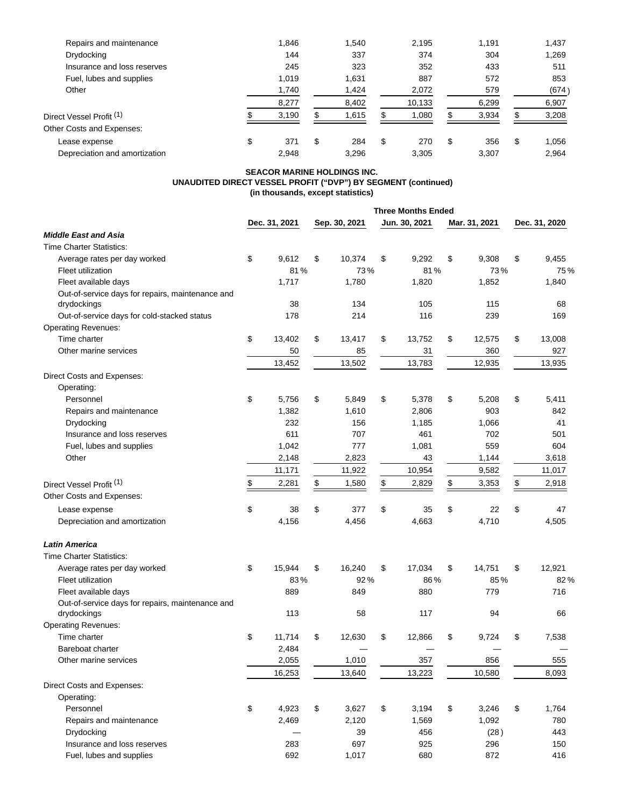| Repairs and maintenance             | 1,846     |   | 1.540 | 2.195     | 1.191     | 1,437       |
|-------------------------------------|-----------|---|-------|-----------|-----------|-------------|
| Drydocking                          | 144       |   | 337   | 374       | 304       | 1,269       |
| Insurance and loss reserves         | 245       |   | 323   | 352       | 433       | 511         |
| Fuel, lubes and supplies            | 1.019     |   | 1.631 | 887       | 572       | 853         |
| Other                               | 1,740     |   | 1,424 | 2,072     | 579       | (674)       |
|                                     | 8,277     |   | 8,402 | 10,133    | 6,299     | 6,907       |
| Direct Vessel Profit <sup>(1)</sup> | 3,190     |   | 1,615 | 1,080     | 3,934     | 3,208       |
| Other Costs and Expenses:           |           |   |       |           |           |             |
| Lease expense                       | \$<br>371 | S | 284   | \$<br>270 | \$<br>356 | \$<br>1.056 |
| Depreciation and amortization       | 2.948     |   | 3.296 | 3.305     | 3.307     | 2.964       |

#### **SEACOR MARINE HOLDINGS INC. UNAUDITED DIRECT VESSEL PROFIT ("DVP") BY SEGMENT (continued) (in thousands, except statistics)**

|                                                  |               | <b>Three Months Ended</b> |    |               |    |               |               |
|--------------------------------------------------|---------------|---------------------------|----|---------------|----|---------------|---------------|
|                                                  | Dec. 31, 2021 | Sep. 30, 2021             |    | Jun. 30, 2021 |    | Mar. 31, 2021 | Dec. 31, 2020 |
| <b>Middle East and Asia</b>                      |               |                           |    |               |    |               |               |
| <b>Time Charter Statistics:</b>                  |               |                           |    |               |    |               |               |
| Average rates per day worked                     | \$<br>9,612   | \$<br>10,374              | \$ | 9,292         | \$ | 9,308         | \$<br>9,455   |
| Fleet utilization                                | 81%           | 73%                       |    | 81%           |    | 73%           | 75%           |
| Fleet available days                             | 1,717         | 1,780                     |    | 1,820         |    | 1,852         | 1,840         |
| Out-of-service days for repairs, maintenance and |               |                           |    |               |    |               |               |
| drydockings                                      | 38            | 134                       |    | 105           |    | 115           | 68            |
| Out-of-service days for cold-stacked status      | 178           | 214                       |    | 116           |    | 239           | 169           |
| <b>Operating Revenues:</b>                       |               |                           |    |               |    |               |               |
| Time charter                                     | \$<br>13,402  | \$<br>13,417              | \$ | 13,752        | \$ | 12,575        | \$<br>13,008  |
| Other marine services                            | 50            | 85                        |    | 31            |    | 360           | 927           |
|                                                  | 13,452        | 13,502                    |    | 13,783        |    | 12,935        | 13,935        |
| Direct Costs and Expenses:                       |               |                           |    |               |    |               |               |
| Operating:                                       |               |                           |    |               |    |               |               |
| Personnel                                        | \$<br>5,756   | \$<br>5,849               | \$ | 5,378         | \$ | 5,208         | \$<br>5,411   |
| Repairs and maintenance                          | 1,382         | 1,610                     |    | 2,806         |    | 903           | 842           |
| Drydocking                                       | 232           | 156                       |    | 1,185         |    | 1,066         | 41            |
| Insurance and loss reserves                      | 611           | 707                       |    | 461           |    | 702           | 501           |
| Fuel, lubes and supplies                         | 1,042         | 777                       |    | 1,081         |    | 559           | 604           |
| Other                                            | 2,148         | 2,823                     |    | 43            |    | 1,144         | 3,618         |
|                                                  | 11,171        | 11,922                    |    | 10,954        |    | 9,582         | 11,017        |
| Direct Vessel Profit <sup>(1)</sup>              | \$<br>2,281   | \$<br>1,580               | \$ | 2,829         | \$ | 3,353         | \$<br>2,918   |
| Other Costs and Expenses:                        |               |                           |    |               |    |               |               |
| Lease expense                                    | \$<br>38      | \$<br>377                 | \$ | 35            | \$ | 22            | \$<br>47      |
| Depreciation and amortization                    | 4,156         | 4,456                     |    | 4,663         |    | 4,710         | 4,505         |
|                                                  |               |                           |    |               |    |               |               |
| <b>Latin America</b>                             |               |                           |    |               |    |               |               |
| <b>Time Charter Statistics:</b>                  |               |                           |    |               |    |               |               |
| Average rates per day worked                     | \$<br>15,944  | \$<br>16,240              | \$ | 17,034        | \$ | 14,751        | \$<br>12,921  |
| Fleet utilization                                | 83%           | 92%                       |    | 86%           |    | 85%           | 82%           |
| Fleet available days                             | 889           | 849                       |    | 880           |    | 779           | 716           |
| Out-of-service days for repairs, maintenance and |               |                           |    |               |    |               |               |
| drydockings                                      | 113           | 58                        |    | 117           |    | 94            | 66            |
| <b>Operating Revenues:</b>                       |               |                           |    |               |    |               |               |
| Time charter                                     | \$<br>11,714  | \$<br>12,630              | \$ | 12,866        | \$ | 9,724         | \$<br>7,538   |
| Bareboat charter                                 | 2,484         |                           |    |               |    |               |               |
| Other marine services                            | 2,055         | 1,010                     |    | 357           |    | 856           | 555           |
|                                                  | 16,253        | 13,640                    |    | 13,223        |    | 10,580        | 8,093         |
| Direct Costs and Expenses:                       |               |                           |    |               |    |               |               |
| Operating:                                       |               |                           |    |               |    |               |               |
| Personnel                                        | \$<br>4,923   | \$<br>3,627               | \$ | 3,194         | \$ | 3,246         | \$<br>1,764   |
| Repairs and maintenance                          | 2,469         | 2,120                     |    | 1,569         |    | 1,092         | 780           |
| Drydocking                                       |               | 39                        |    | 456           |    | (28)          | 443           |
| Insurance and loss reserves                      | 283           | 697                       |    | 925           |    | 296           | 150           |
| Fuel, lubes and supplies                         | 692           | 1,017                     |    | 680           |    | 872           | 416           |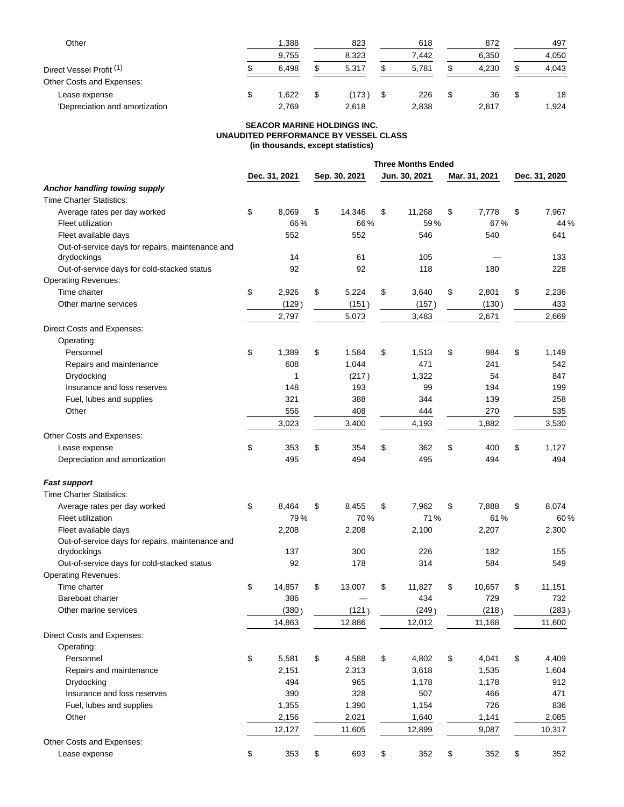| Other                               |  | 1,388 |  | 823   |  | 618   |    | 872   |   | 497   |
|-------------------------------------|--|-------|--|-------|--|-------|----|-------|---|-------|
|                                     |  | 9,755 |  | 8,323 |  | 7.442 |    | 6,350 |   | 4,050 |
| Direct Vessel Profit <sup>(1)</sup> |  | 6.498 |  | 5.317 |  | 5,781 |    | 4,230 |   | 4,043 |
| Other Costs and Expenses:           |  |       |  |       |  |       |    |       |   |       |
| Lease expense                       |  | 1.622 |  | (173) |  | 226   | \$ | 36    | S | 18    |
| 'Depreciation and amortization      |  | 2,769 |  | 2.618 |  | 2,838 |    | 2.617 |   | 1,924 |

### **SEACOR MARINE HOLDINGS INC. UNAUDITED PERFORMANCE BY VESSEL CLASS (in thousands, except statistics)**

|                                                  |               |               |      | <b>Three Months Ended</b> |               |               |
|--------------------------------------------------|---------------|---------------|------|---------------------------|---------------|---------------|
|                                                  | Dec. 31, 2021 | Sep. 30, 2021 |      | Jun. 30, 2021             | Mar. 31, 2021 | Dec. 31, 2020 |
| Anchor handling towing supply                    |               |               |      |                           |               |               |
| <b>Time Charter Statistics:</b>                  |               |               |      |                           |               |               |
| Average rates per day worked                     | \$<br>8,069   | \$<br>14,346  | \$   | 11,268                    | \$<br>7,778   | \$<br>7,967   |
| Fleet utilization                                | 66%           | 66%           |      | 59%                       | 67%           | 44 %          |
| Fleet available days                             | 552           | 552           |      | 546                       | 540           | 641           |
| Out-of-service days for repairs, maintenance and |               |               |      |                           |               |               |
| drydockings                                      | 14            | 61            |      | 105                       |               | 133           |
| Out-of-service days for cold-stacked status      | 92            | 92            |      | 118                       | 180           | 228           |
| <b>Operating Revenues:</b>                       |               |               |      |                           |               |               |
| Time charter                                     | \$<br>2,926   | \$<br>5,224   | \$   | 3,640                     | \$<br>2,801   | \$<br>2,236   |
| Other marine services                            | (129)         | (151)         |      | (157)                     | (130)         | 433           |
|                                                  | 2,797         | 5,073         |      | 3,483                     | 2,671         | 2,669         |
| Direct Costs and Expenses:                       |               |               |      |                           |               |               |
| Operating:                                       |               |               |      |                           |               |               |
| Personnel                                        | \$<br>1,389   | \$<br>1,584   | \$   | 1,513                     | \$<br>984     | \$<br>1,149   |
| Repairs and maintenance                          | 608           | 1,044         |      | 471                       | 241           | 542           |
| Drydocking                                       | 1             | (217)         |      | 1,322                     | 54            | 847           |
| Insurance and loss reserves                      | 148           | 193           |      | 99                        | 194           | 199           |
| Fuel, lubes and supplies                         | 321           | 388           |      | 344                       | 139           | 258           |
| Other                                            | 556           | 408           |      | 444                       | 270           | 535           |
|                                                  | 3,023         | 3,400         |      | 4,193                     | 1,882         | 3,530         |
| Other Costs and Expenses:                        |               |               |      |                           |               |               |
| Lease expense                                    | \$<br>353     | \$<br>354     | \$   | 362                       | \$<br>400     | \$<br>1,127   |
| Depreciation and amortization                    | 495           | 494           |      | 495                       | 494           | 494           |
| <b>Fast support</b>                              |               |               |      |                           |               |               |
| <b>Time Charter Statistics:</b>                  |               |               |      |                           |               |               |
| Average rates per day worked                     | \$<br>8,464   | \$<br>8,455   | \$   | 7,962                     | \$<br>7,888   | \$<br>8,074   |
| Fleet utilization                                | 79%           | 70%           |      | 71%                       | 61%           | 60%           |
| Fleet available days                             | 2,208         | 2,208         |      | 2,100                     | 2,207         | 2,300         |
| Out-of-service days for repairs, maintenance and |               |               |      |                           |               |               |
| drydockings                                      | 137           | 300           |      | 226                       | 182           | 155           |
| Out-of-service days for cold-stacked status      | 92            | 178           |      | 314                       | 584           | 549           |
| <b>Operating Revenues:</b>                       |               |               |      |                           |               |               |
| Time charter                                     | \$<br>14,857  | \$<br>13,007  | \$   | 11,827                    | \$<br>10,657  | \$<br>11,151  |
| Bareboat charter                                 | 386           |               |      | 434                       | 729           | 732           |
| Other marine services                            | (380)         | (121)         |      | (249)                     | (218)         | (283)         |
|                                                  | 14,863        | 12,886        |      | 12,012                    | 11,168        | 11,600        |
| Direct Costs and Expenses:                       |               |               |      |                           |               |               |
| Operating:                                       |               |               |      |                           |               |               |
| Personnel                                        | \$<br>5,581   | \$<br>4,588   | $\,$ | 4,802                     | \$<br>4,041   | \$<br>4,409   |
| Repairs and maintenance                          | 2,151         | 2,313         |      | 3,618                     | 1,535         | 1,604         |
| Drydocking                                       | 494           | 965           |      | 1,178                     | 1,178         | 912           |
| Insurance and loss reserves                      | 390           | 328           |      | 507                       | 466           | 471           |
| Fuel, lubes and supplies                         | 1,355         | 1,390         |      | 1,154                     | 726           | 836           |
| Other                                            | 2,156         | 2,021         |      | 1,640                     | 1,141         | 2,085         |
|                                                  | 12,127        | 11,605        |      | 12,899                    | 9,087         | 10,317        |
| Other Costs and Expenses:                        |               |               |      |                           |               |               |
| Lease expense                                    | \$<br>353     | \$<br>693     | $\,$ | 352                       | \$<br>352     | \$<br>352     |
|                                                  |               |               |      |                           |               |               |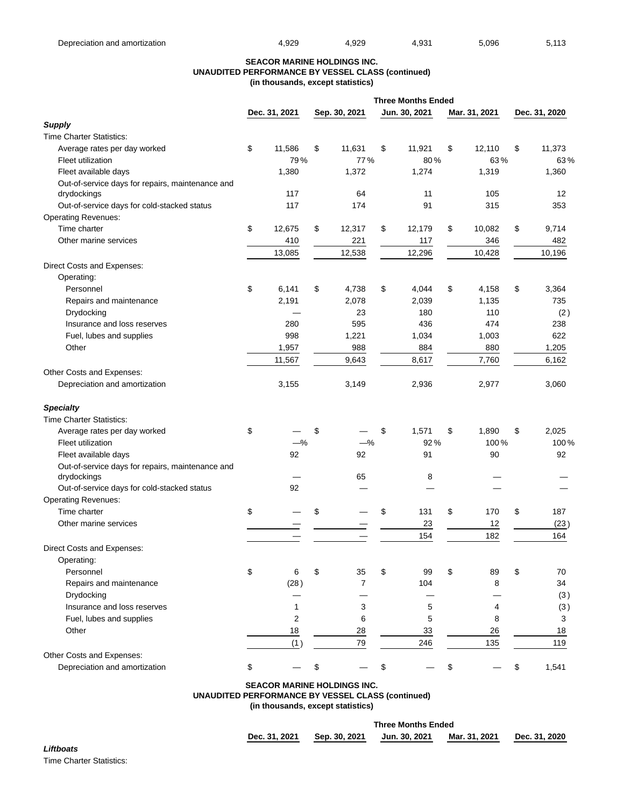#### **SEACOR MARINE HOLDINGS INC. UNAUDITED PERFORMANCE BY VESSEL CLASS (continued) (in thousands, except statistics)**

|                                                                 |               | <b>Three Months Ended</b> |                |    |               |    |               |               |
|-----------------------------------------------------------------|---------------|---------------------------|----------------|----|---------------|----|---------------|---------------|
|                                                                 | Dec. 31, 2021 |                           | Sep. 30, 2021  |    | Jun. 30, 2021 |    | Mar. 31, 2021 | Dec. 31, 2020 |
| <b>Supply</b>                                                   |               |                           |                |    |               |    |               |               |
| <b>Time Charter Statistics:</b>                                 |               |                           |                |    |               |    |               |               |
| Average rates per day worked                                    | \$<br>11,586  | \$                        | 11,631         | \$ | 11,921        | \$ | 12,110        | \$<br>11,373  |
| Fleet utilization                                               | 79%           |                           | 77%            |    | 80%           |    | 63%           | 63%           |
| Fleet available days                                            | 1,380         |                           | 1,372          |    | 1,274         |    | 1,319         | 1,360         |
| Out-of-service days for repairs, maintenance and                |               |                           |                |    |               |    |               |               |
| drydockings                                                     | 117           |                           | 64             |    | 11            |    | 105           | 12            |
| Out-of-service days for cold-stacked status                     | 117           |                           | 174            |    | 91            |    | 315           | 353           |
| <b>Operating Revenues:</b>                                      |               |                           |                |    |               |    |               |               |
| Time charter                                                    | \$<br>12,675  | \$                        | 12,317         | \$ | 12,179        | \$ | 10,082        | \$<br>9,714   |
| Other marine services                                           | 410           |                           | 221            |    | 117           |    | 346           | 482           |
|                                                                 | 13,085        |                           | 12,538         |    | 12,296        |    | 10,428        | 10,196        |
| Direct Costs and Expenses:                                      |               |                           |                |    |               |    |               |               |
| Operating:                                                      |               |                           |                |    |               |    |               |               |
| Personnel                                                       | \$<br>6,141   | \$                        | 4,738          | \$ | 4,044         | \$ | 4,158         | \$<br>3,364   |
| Repairs and maintenance                                         | 2,191         |                           | 2,078          |    | 2,039         |    | 1,135         | 735           |
| Drydocking                                                      |               |                           | 23             |    | 180           |    | 110           | (2)           |
| Insurance and loss reserves                                     | 280           |                           | 595            |    | 436           |    | 474           | 238           |
| Fuel, lubes and supplies                                        | 998           |                           | 1,221          |    | 1,034         |    | 1,003         | 622           |
| Other                                                           | 1,957         |                           | 988            |    | 884           |    | 880           | 1,205         |
|                                                                 | 11,567        |                           | 9,643          |    | 8,617         |    | 7,760         | 6,162         |
| Other Costs and Expenses:                                       |               |                           |                |    |               |    |               |               |
| Depreciation and amortization                                   | 3,155         |                           | 3,149          |    | 2,936         |    | 2,977         | 3,060         |
| <b>Specialty</b>                                                |               |                           |                |    |               |    |               |               |
| <b>Time Charter Statistics:</b>                                 |               |                           |                |    |               |    |               |               |
| Average rates per day worked                                    | \$            | \$                        |                | \$ | 1,571         | \$ | 1,890         | \$<br>2,025   |
| Fleet utilization                                               | $-\%$         |                           | $-\%$          |    | 92%           |    | 100%          | 100%          |
| Fleet available days                                            | 92            |                           | 92             |    | 91            |    | 90            | 92            |
| Out-of-service days for repairs, maintenance and<br>drydockings |               |                           | 65             |    | 8             |    |               |               |
| Out-of-service days for cold-stacked status                     | 92            |                           |                |    |               |    |               |               |
| <b>Operating Revenues:</b>                                      |               |                           |                |    |               |    |               |               |
| Time charter                                                    | \$            | \$                        |                | \$ | 131           | \$ | 170           | \$<br>187     |
| Other marine services                                           |               |                           |                |    | 23            |    | 12            | (23)          |
|                                                                 |               |                           |                |    | 154           |    | 182           | 164           |
|                                                                 |               |                           |                |    |               |    |               |               |
| Direct Costs and Expenses:<br>Operating:                        |               |                           |                |    |               |    |               |               |
| Personnel                                                       | \$<br>6       | \$                        | 35             | \$ | 99            | \$ | 89            | \$<br>70      |
|                                                                 |               |                           | $\overline{7}$ |    | 104           |    |               |               |
| Repairs and maintenance<br>Drydocking                           | (28)          |                           |                |    |               |    | 8             | 34            |
| Insurance and loss reserves                                     |               |                           | 3              |    |               |    | 4             | (3)           |
|                                                                 | 2             |                           |                |    | 5<br>5        |    |               | (3)           |
| Fuel, lubes and supplies                                        |               |                           | 6              |    |               |    | 8             | 3             |
| Other                                                           | 18            |                           | 28             |    | 33            |    | 26            | 18            |
|                                                                 | (1)           |                           | 79             |    | 246           |    | 135           | 119           |
| Other Costs and Expenses:                                       |               |                           |                |    |               |    |               |               |
| Depreciation and amortization                                   | \$            |                           |                | \$ |               | \$ |               | \$<br>1,541   |

# **SEACOR MARINE HOLDINGS INC. UNAUDITED PERFORMANCE BY VESSEL CLASS (continued)**

**(in thousands, except statistics)**

|               |               | <b>Three Months Ended</b> |               |               |
|---------------|---------------|---------------------------|---------------|---------------|
| Dec. 31, 2021 | Sep. 30, 2021 | Jun. 30, 2021             | Mar. 31, 2021 | Dec. 31, 2020 |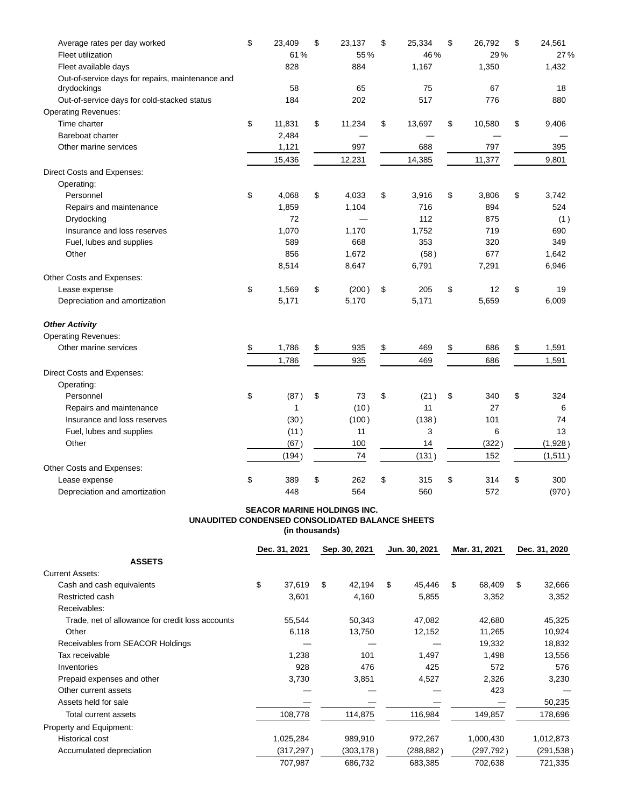| Average rates per day worked                                    | \$<br>23,409 | \$<br>23,137 | \$<br>25,334 | \$<br>26,792 | \$<br>24,561 |
|-----------------------------------------------------------------|--------------|--------------|--------------|--------------|--------------|
| Fleet utilization                                               | 61%          | 55%          | 46%          | 29%          | 27%          |
| Fleet available days                                            | 828          | 884          | 1,167        | 1,350        | 1,432        |
| Out-of-service days for repairs, maintenance and<br>drydockings | 58           | 65           | 75           | 67           | 18           |
| Out-of-service days for cold-stacked status                     | 184          | 202          | 517          | 776          | 880          |
| <b>Operating Revenues:</b>                                      |              |              |              |              |              |
| Time charter                                                    | \$<br>11,831 | \$<br>11,234 | \$<br>13,697 | \$<br>10,580 | \$<br>9,406  |
| Bareboat charter                                                | 2,484        |              |              |              |              |
| Other marine services                                           | 1,121        | 997          | 688          | 797          | 395          |
|                                                                 | 15,436       | 12,231       | 14,385       | 11,377       | 9,801        |
| Direct Costs and Expenses:                                      |              |              |              |              |              |
| Operating:                                                      |              |              |              |              |              |
| Personnel                                                       | \$<br>4,068  | \$<br>4,033  | \$<br>3,916  | \$<br>3,806  | \$<br>3,742  |
| Repairs and maintenance                                         | 1,859        | 1,104        | 716          | 894          | 524          |
| Drydocking                                                      | 72           |              | 112          | 875          | (1)          |
| Insurance and loss reserves                                     | 1,070        | 1,170        | 1,752        | 719          | 690          |
| Fuel, lubes and supplies                                        | 589          | 668          | 353          | 320          | 349          |
| Other                                                           | 856          | 1,672        | (58)         | 677          | 1,642        |
|                                                                 | 8,514        | 8,647        | 6,791        | 7,291        | 6,946        |
| Other Costs and Expenses:                                       |              |              |              |              |              |
| Lease expense                                                   | \$<br>1,569  | \$<br>(200)  | \$<br>205    | \$<br>12     | \$<br>19     |
| Depreciation and amortization                                   | 5,171        | 5,170        | 5,171        | 5,659        | 6,009        |
| <b>Other Activity</b>                                           |              |              |              |              |              |
| <b>Operating Revenues:</b>                                      |              |              |              |              |              |
| Other marine services                                           | \$<br>1,786  | \$<br>935    | \$<br>469    | \$<br>686    | \$<br>1,591  |
|                                                                 | 1,786        | 935          | 469          | 686          | 1,591        |
| Direct Costs and Expenses:                                      |              |              |              |              |              |
| Operating:                                                      |              |              |              |              |              |
| Personnel                                                       | \$<br>(87)   | \$<br>73     | \$<br>(21)   | \$<br>340    | \$<br>324    |
| Repairs and maintenance                                         | $\mathbf{1}$ | (10)         | 11           | 27           | 6            |
| Insurance and loss reserves                                     | (30)         | (100)        | (138)        | 101          | 74           |
| Fuel, lubes and supplies                                        | (11)         | 11           | 3            | 6            | 13           |
| Other                                                           | (67)         | 100          | 14           | (322)        | (1,928)      |
|                                                                 | (194)        | 74           | (131)        | 152          | (1,511)      |
| Other Costs and Expenses:                                       |              |              |              |              |              |
| Lease expense                                                   | \$<br>389    | \$<br>262    | \$<br>315    | \$<br>314    | \$<br>300    |
| Depreciation and amortization                                   | 448          | 564          | 560          | 572          | (970)        |

### **SEACOR MARINE HOLDINGS INC. UNAUDITED CONDENSED CONSOLIDATED BALANCE SHEETS (in thousands)**

|                                                  |    | Dec. 31, 2021 |    | Sep. 30, 2021 |    | Jun. 30, 2021 |    | Mar. 31, 2021 |    | Dec. 31, 2020 |  |
|--------------------------------------------------|----|---------------|----|---------------|----|---------------|----|---------------|----|---------------|--|
| <b>ASSETS</b>                                    |    |               |    |               |    |               |    |               |    |               |  |
| <b>Current Assets:</b>                           |    |               |    |               |    |               |    |               |    |               |  |
| Cash and cash equivalents                        | \$ | 37,619        | \$ | 42,194        | \$ | 45,446        | \$ | 68,409        | \$ | 32,666        |  |
| Restricted cash                                  |    | 3,601         |    | 4,160         |    | 5,855         |    | 3,352         |    | 3,352         |  |
| Receivables:                                     |    |               |    |               |    |               |    |               |    |               |  |
| Trade, net of allowance for credit loss accounts |    | 55,544        |    | 50,343        |    | 47,082        |    | 42,680        |    | 45,325        |  |
| Other                                            |    | 6,118         |    | 13,750        |    | 12,152        |    | 11,265        |    | 10,924        |  |
| Receivables from SEACOR Holdings                 |    |               |    |               |    |               |    | 19,332        |    | 18,832        |  |
| Tax receivable                                   |    | 1,238         |    | 101           |    | 1,497         |    | 1,498         |    | 13,556        |  |
| Inventories                                      |    | 928           |    | 476           |    | 425           |    | 572           |    | 576           |  |
| Prepaid expenses and other                       |    | 3,730         |    | 3,851         |    | 4,527         |    | 2,326         |    | 3,230         |  |
| Other current assets                             |    |               |    |               |    |               |    | 423           |    |               |  |
| Assets held for sale                             |    |               |    |               |    |               |    |               |    | 50,235        |  |
| Total current assets                             |    | 108,778       |    | 114,875       |    | 116,984       |    | 149,857       |    | 178,696       |  |
| Property and Equipment:                          |    |               |    |               |    |               |    |               |    |               |  |
| Historical cost                                  |    | 1,025,284     |    | 989,910       |    | 972,267       |    | 1,000,430     |    | 1,012,873     |  |
| Accumulated depreciation                         |    | (317, 297)    |    | (303,178)     |    | (288,882)     |    | (297,792)     |    | (291, 538)    |  |
|                                                  |    | 707,987       |    | 686,732       |    | 683,385       |    | 702,638       |    | 721,335       |  |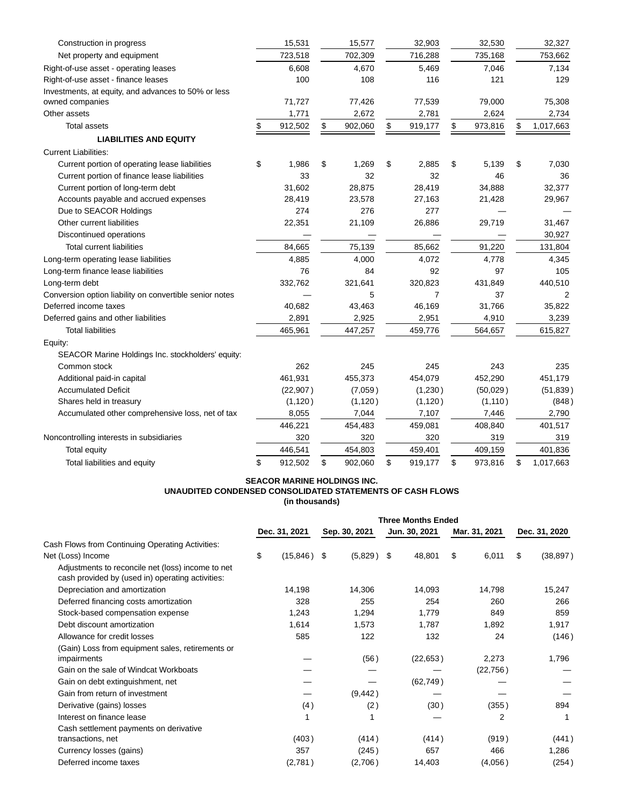| Construction in progress                                | 15,531        | 15,577        | 32,903         | 32,530        | 32,327          |
|---------------------------------------------------------|---------------|---------------|----------------|---------------|-----------------|
| Net property and equipment                              | 723,518       | 702,309       | 716,288        | 735,168       | 753,662         |
| Right-of-use asset - operating leases                   | 6,608         | 4,670         | 5,469          | 7,046         | 7,134           |
| Right-of-use asset - finance leases                     | 100           | 108           | 116            | 121           | 129             |
| Investments, at equity, and advances to 50% or less     |               |               |                |               |                 |
| owned companies                                         | 71,727        | 77,426        | 77,539         | 79,000        | 75,308          |
| Other assets                                            | 1,771         | 2,672         | 2,781          | 2,624         | 2,734           |
| <b>Total assets</b>                                     | \$<br>912,502 | \$<br>902,060 | \$<br>919,177  | \$<br>973,816 | \$<br>1,017,663 |
| <b>LIABILITIES AND EQUITY</b>                           |               |               |                |               |                 |
| <b>Current Liabilities:</b>                             |               |               |                |               |                 |
| Current portion of operating lease liabilities          | \$<br>1,986   | \$<br>1,269   | \$<br>2,885    | \$<br>5,139   | \$<br>7,030     |
| Current portion of finance lease liabilities            | 33            | 32            | 32             | 46            | 36              |
| Current portion of long-term debt                       | 31,602        | 28,875        | 28,419         | 34,888        | 32,377          |
| Accounts payable and accrued expenses                   | 28,419        | 23,578        | 27,163         | 21,428        | 29,967          |
| Due to SEACOR Holdings                                  | 274           | 276           | 277            |               |                 |
| Other current liabilities                               | 22,351        | 21,109        | 26,886         | 29,719        | 31,467          |
| Discontinued operations                                 |               |               |                |               | 30,927          |
| <b>Total current liabilities</b>                        | 84,665        | 75,139        | 85,662         | 91,220        | 131,804         |
| Long-term operating lease liabilities                   | 4,885         | 4,000         | 4,072          | 4,778         | 4,345           |
| Long-term finance lease liabilities                     | 76            | 84            | 92             | 97            | 105             |
| Long-term debt                                          | 332,762       | 321,641       | 320,823        | 431,849       | 440,510         |
| Conversion option liability on convertible senior notes |               | 5             | $\overline{7}$ | 37            | 2               |
| Deferred income taxes                                   | 40,682        | 43,463        | 46,169         | 31,766        | 35,822          |
| Deferred gains and other liabilities                    | 2,891         | 2,925         | 2,951          | 4,910         | 3,239           |
| <b>Total liabilities</b>                                | 465,961       | 447,257       | 459,776        | 564,657       | 615,827         |
| Equity:                                                 |               |               |                |               |                 |
| SEACOR Marine Holdings Inc. stockholders' equity:       |               |               |                |               |                 |
| Common stock                                            | 262           | 245           | 245            | 243           | 235             |
| Additional paid-in capital                              | 461,931       | 455,373       | 454,079        | 452,290       | 451,179         |
| <b>Accumulated Deficit</b>                              | (22, 907)     | (7,059)       | (1,230)        | (50,029)      | (51, 839)       |
| Shares held in treasury                                 | (1, 120)      | (1, 120)      | (1, 120)       | (1, 110)      | (848)           |
| Accumulated other comprehensive loss, net of tax        | 8,055         | 7,044         | 7,107          | 7,446         | 2,790           |
|                                                         | 446,221       | 454,483       | 459,081        | 408,840       | 401,517         |
| Noncontrolling interests in subsidiaries                | 320           | 320           | 320            | 319           | 319             |
| Total equity                                            | 446,541       | 454,803       | 459,401        | 409,159       | 401,836         |
| Total liabilities and equity                            | \$<br>912,502 | \$<br>902,060 | \$<br>919,177  | \$<br>973,816 | \$<br>1,017,663 |

### **SEACOR MARINE HOLDINGS INC. UNAUDITED CONDENSED CONSOLIDATED STATEMENTS OF CASH FLOWS (in thousands)**

|                                                                                                       |               |           | <b>Three Months Ended</b> |              |               |           |               |           |               |           |
|-------------------------------------------------------------------------------------------------------|---------------|-----------|---------------------------|--------------|---------------|-----------|---------------|-----------|---------------|-----------|
|                                                                                                       | Dec. 31, 2021 |           | Sep. 30, 2021             |              | Jun. 30, 2021 |           | Mar. 31, 2021 |           | Dec. 31, 2020 |           |
| Cash Flows from Continuing Operating Activities:                                                      |               |           |                           |              |               |           |               |           |               |           |
| Net (Loss) Income                                                                                     | \$            | (15, 846) | \$                        | $(5,829)$ \$ |               | 48,801    | \$            | 6,011     | \$            | (38, 897) |
| Adjustments to reconcile net (loss) income to net<br>cash provided by (used in) operating activities: |               |           |                           |              |               |           |               |           |               |           |
| Depreciation and amortization                                                                         |               | 14,198    |                           | 14,306       |               | 14,093    |               | 14,798    |               | 15,247    |
| Deferred financing costs amortization                                                                 |               | 328       |                           | 255          |               | 254       |               | 260       |               | 266       |
| Stock-based compensation expense                                                                      |               | 1,243     |                           | 1,294        |               | 1,779     |               | 849       |               | 859       |
| Debt discount amortization                                                                            |               | 1,614     |                           | 1,573        |               | 1,787     |               | 1,892     |               | 1,917     |
| Allowance for credit losses                                                                           |               | 585       |                           | 122          |               | 132       |               | 24        |               | (146)     |
| (Gain) Loss from equipment sales, retirements or                                                      |               |           |                           |              |               |           |               |           |               |           |
| impairments                                                                                           |               |           |                           | (56)         |               | (22, 653) |               | 2,273     |               | 1,796     |
| Gain on the sale of Windcat Workboats                                                                 |               |           |                           |              |               |           |               | (22, 756) |               |           |
| Gain on debt extinguishment, net                                                                      |               |           |                           |              |               | (62, 749) |               |           |               |           |
| Gain from return of investment                                                                        |               |           |                           | (9, 442)     |               |           |               |           |               |           |
| Derivative (gains) losses                                                                             |               | (4)       |                           | (2)          |               | (30)      |               | (355)     |               | 894       |
| Interest on finance lease                                                                             |               |           |                           | 1            |               |           |               | 2         |               |           |
| Cash settlement payments on derivative                                                                |               |           |                           |              |               |           |               |           |               |           |
| transactions, net                                                                                     |               | (403)     |                           | (414)        |               | (414)     |               | (919)     |               | (441)     |
| Currency losses (gains)                                                                               |               | 357       |                           | (245)        |               | 657       |               | 466       |               | 1,286     |
| Deferred income taxes                                                                                 |               | (2,781)   |                           | (2,706)      |               | 14,403    |               | (4,056)   |               | (254)     |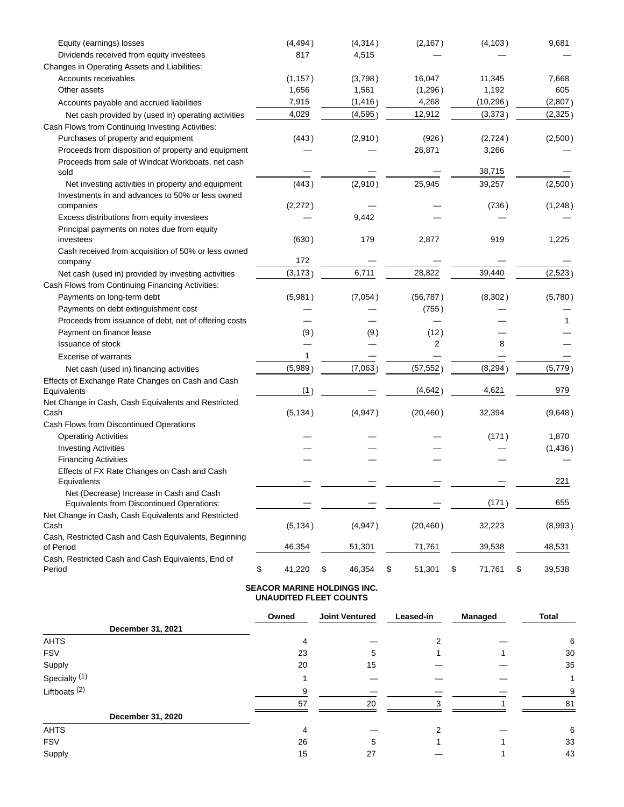| Equity (earnings) losses                                                                                 | (4, 494)     | (4, 314)     | (2, 167)     | (4, 103)     | 9,681        |
|----------------------------------------------------------------------------------------------------------|--------------|--------------|--------------|--------------|--------------|
| Dividends received from equity investees                                                                 | 817          | 4,515        |              |              |              |
| Changes in Operating Assets and Liabilities:                                                             |              |              |              |              |              |
| Accounts receivables                                                                                     | (1, 157)     | (3,798)      | 16,047       | 11,345       | 7,668        |
| Other assets                                                                                             | 1,656        | 1,561        | (1,296)      | 1,192        | 605          |
| Accounts payable and accrued liabilities                                                                 | 7,915        | (1, 416)     | 4,268        | (10, 296)    | (2,807)      |
| Net cash provided by (used in) operating activities                                                      | 4,029        | (4, 595)     | 12,912       | (3,373)      | (2, 325)     |
| Cash Flows from Continuing Investing Activities:                                                         |              |              |              |              |              |
| Purchases of property and equipment                                                                      | (443)        | (2,910)      | (926)        | (2,724)      | (2,500)      |
| Proceeds from disposition of property and equipment<br>Proceeds from sale of Windcat Workboats, net cash |              |              | 26,871       | 3,266        |              |
| sold                                                                                                     |              |              |              | 38,715       |              |
| Net investing activities in property and equipment<br>Investments in and advances to 50% or less owned   | (443)        | (2,910)      | 25,945       | 39,257       | (2,500)      |
| companies                                                                                                | (2,272)      |              |              | (736)        | (1,248)      |
| Excess distributions from equity investees                                                               |              | 9,442        |              |              |              |
| Principal payments on notes due from equity<br>investees                                                 | (630)        | 179          | 2,877        | 919          | 1,225        |
| Cash received from acquisition of 50% or less owned<br>company                                           | 172          |              |              |              |              |
| Net cash (used in) provided by investing activities                                                      | (3, 173)     | 6,711        | 28,822       | 39,440       | (2,523)      |
| Cash Flows from Continuing Financing Activities:                                                         |              |              |              |              |              |
| Payments on long-term debt                                                                               | (5,981)      | (7,054)      | (56, 787)    | (8,302)      | (5,780)      |
| Payments on debt extinguishment cost                                                                     |              |              | (755)        |              |              |
| Proceeds from issuance of debt, net of offering costs                                                    |              |              |              |              |              |
| Payment on finance lease                                                                                 | (9)          | (9)          | (12)         |              |              |
| <b>Issuance of stock</b>                                                                                 |              |              | 2            | 8            |              |
| <b>Excerise of warrants</b>                                                                              | 1            |              |              |              |              |
| Net cash (used in) financing activities                                                                  | (5,989)      | (7,063)      | (57, 552)    | (8, 294)     | (5,779)      |
| Effects of Exchange Rate Changes on Cash and Cash<br>Equivalents                                         | (1)          |              | (4, 642)     | 4,621        | 979          |
| Net Change in Cash, Cash Equivalents and Restricted                                                      |              |              |              |              |              |
| Cash                                                                                                     | (5, 134)     | (4,947)      | (20, 460)    | 32,394       | (9,648)      |
| Cash Flows from Discontinued Operations                                                                  |              |              |              |              |              |
| <b>Operating Activities</b>                                                                              |              |              |              | (171)        | 1,870        |
| <b>Investing Activities</b>                                                                              |              |              |              |              | (1,436)      |
| <b>Financing Activities</b>                                                                              |              |              |              |              |              |
| Effects of FX Rate Changes on Cash and Cash<br>Equivalents                                               |              |              |              |              | 221          |
| Net (Decrease) Increase in Cash and Cash<br>Equivalents from Discontinued Operations:                    |              |              |              | (171)        | 655          |
| Net Change in Cash, Cash Equivalents and Restricted<br>Cash                                              | (5, 134)     | (4,947)      | (20, 460)    | 32,223       | (8,993)      |
| Cash, Restricted Cash and Cash Equivalents, Beginning<br>of Period                                       | 46,354       | 51,301       | 71,761       | 39,538       | 48,531       |
| Cash, Restricted Cash and Cash Equivalents, End of<br>Period                                             | \$<br>41,220 | \$<br>46,354 | \$<br>51,301 | \$<br>71,761 | \$<br>39,538 |

## **SEACOR MARINE HOLDINGS INC. UNAUDITED FLEET COUNTS**

|                          | Owned | <b>Joint Ventured</b> | Leased-in | <b>Managed</b> | <b>Total</b> |
|--------------------------|-------|-----------------------|-----------|----------------|--------------|
| December 31, 2021        |       |                       |           |                |              |
| <b>AHTS</b>              | 4     |                       |           |                | 6            |
| <b>FSV</b>               | 23    | 5                     |           |                | 30           |
| Supply                   | 20    | 15                    |           |                | 35           |
| Specialty <sup>(1)</sup> |       |                       |           |                |              |
| Liftboats $(2)$          | g     |                       |           |                | 9            |
|                          | 57    | 20                    | ີ         |                | 81           |
| December 31, 2020        |       |                       |           |                |              |
| <b>AHTS</b>              | 4     |                       | ◠         |                | 6            |
| <b>FSV</b>               | 26    | 5                     |           |                | 33           |
| Supply                   | 15    | 27                    |           |                | 43           |